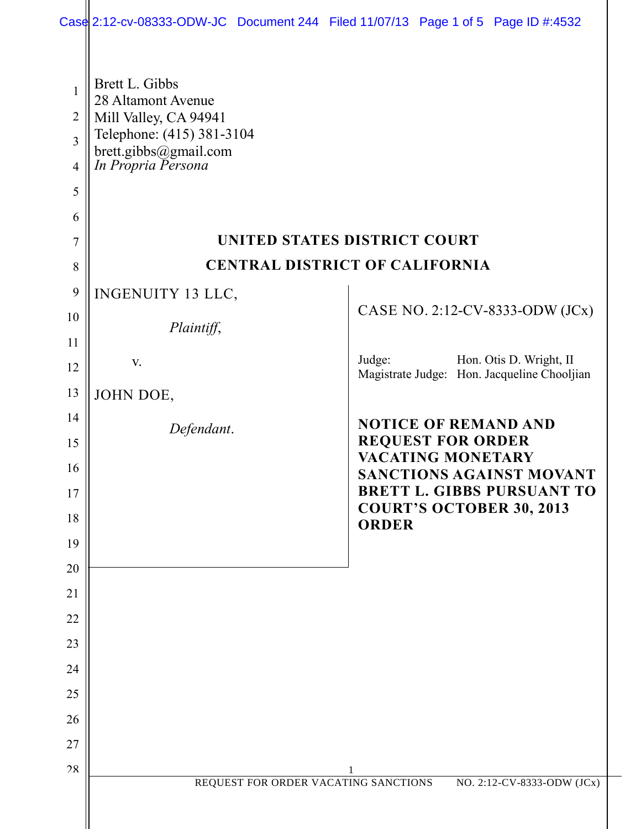|                                                              |                                                                                                                                           | Case 2:12-cv-08333-ODW-JC Document 244 Filed 11/07/13 Page 1 of 5 Page ID #:4532 |  |
|--------------------------------------------------------------|-------------------------------------------------------------------------------------------------------------------------------------------|----------------------------------------------------------------------------------|--|
| 1<br>$\overline{2}$<br>$\overline{3}$<br>$\overline{4}$<br>5 | Brett L. Gibbs<br>28 Altamont Avenue<br>Mill Valley, CA 94941<br>Telephone: (415) 381-3104<br>brett.gibbs@gmail.com<br>In Propria Persona |                                                                                  |  |
| 6                                                            |                                                                                                                                           |                                                                                  |  |
| $\tau$                                                       | UNITED STATES DISTRICT COURT                                                                                                              |                                                                                  |  |
| 8                                                            | <b>CENTRAL DISTRICT OF CALIFORNIA</b>                                                                                                     |                                                                                  |  |
| 9                                                            | INGENUITY 13 LLC,                                                                                                                         |                                                                                  |  |
| 10                                                           | Plaintiff,                                                                                                                                | CASE NO. 2:12-CV-8333-ODW (JCx)                                                  |  |
| 11                                                           |                                                                                                                                           |                                                                                  |  |
| 12                                                           | V.                                                                                                                                        | Judge:<br>Hon. Otis D. Wright, II<br>Magistrate Judge: Hon. Jacqueline Chooljian |  |
| 13                                                           | JOHN DOE,                                                                                                                                 |                                                                                  |  |
| 14                                                           | Defendant.                                                                                                                                | <b>NOTICE OF REMAND AND</b>                                                      |  |
| 15                                                           |                                                                                                                                           | <b>REQUEST FOR ORDER</b><br>VACATING MONETARY                                    |  |
| 16                                                           |                                                                                                                                           | <b>SANCTIONS AGAINST MOVANT</b><br><b>BRETT L. GIBBS PURSUANT TO</b>             |  |
| 17<br>18                                                     |                                                                                                                                           | <b>COURT'S OCTOBER 30, 2013</b>                                                  |  |
| 19                                                           |                                                                                                                                           | <b>ORDER</b>                                                                     |  |
| 20                                                           |                                                                                                                                           |                                                                                  |  |
| 21                                                           |                                                                                                                                           |                                                                                  |  |
| 22                                                           |                                                                                                                                           |                                                                                  |  |
| 23                                                           |                                                                                                                                           |                                                                                  |  |
| 24                                                           |                                                                                                                                           |                                                                                  |  |
| 25                                                           |                                                                                                                                           |                                                                                  |  |
| 26                                                           |                                                                                                                                           |                                                                                  |  |
| 27                                                           |                                                                                                                                           |                                                                                  |  |
| 28                                                           | REQUEST FOR ORDER VACATING SANCTIONS                                                                                                      | NO. 2:12-CV-8333-ODW (JCx)                                                       |  |
|                                                              |                                                                                                                                           |                                                                                  |  |
|                                                              |                                                                                                                                           |                                                                                  |  |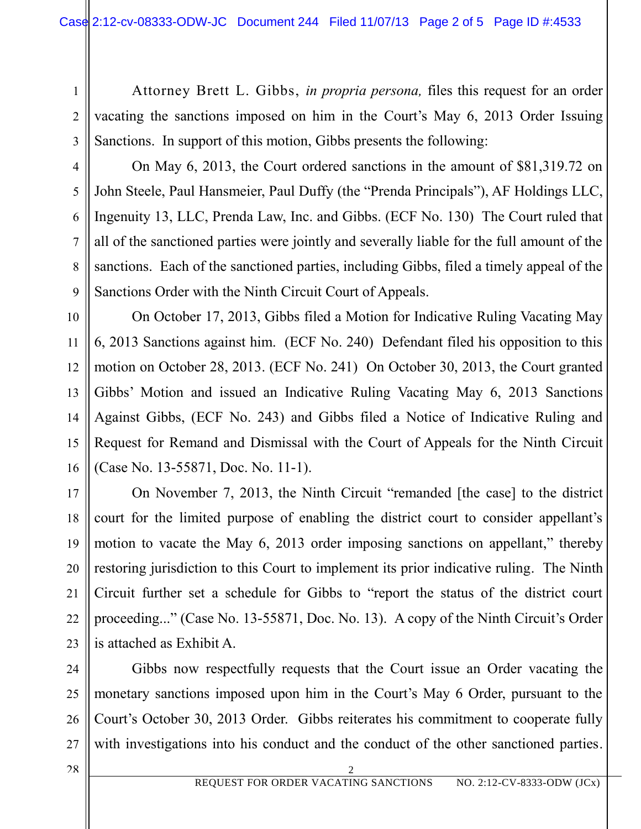Attorney Brett L. Gibbs, *in propria persona,* files this request for an order vacating the sanctions imposed on him in the Court's May 6, 2013 Order Issuing Sanctions. In support of this motion, Gibbs presents the following:

7

8

9

11

1

2

On May 6, 2013, the Court ordered sanctions in the amount of \$81,319.72 on John Steele, Paul Hansmeier, Paul Duffy (the "Prenda Principals"), AF Holdings LLC, Ingenuity 13, LLC, Prenda Law, Inc. and Gibbs. (ECF No. 130) The Court ruled that all of the sanctioned parties were jointly and severally liable for the full amount of the sanctions. Each of the sanctioned parties, including Gibbs, filed a timely appeal of the Sanctions Order with the Ninth Circuit Court of Appeals.

10 12 13 14 15 16 On October 17, 2013, Gibbs filed a Motion for Indicative Ruling Vacating May 6, 2013 Sanctions against him. (ECF No. 240) Defendant filed his opposition to this motion on October 28, 2013. (ECF No. 241) On October 30, 2013, the Court granted Gibbs' Motion and issued an Indicative Ruling Vacating May 6, 2013 Sanctions Against Gibbs, (ECF No. 243) and Gibbs filed a Notice of Indicative Ruling and Request for Remand and Dismissal with the Court of Appeals for the Ninth Circuit (Case No. 13-55871, Doc. No. 11-1).

17 18 19 20 21 22 23 On November 7, 2013, the Ninth Circuit "remanded [the case] to the district court for the limited purpose of enabling the district court to consider appellant's motion to vacate the May 6, 2013 order imposing sanctions on appellant," thereby restoring jurisdiction to this Court to implement its prior indicative ruling. The Ninth Circuit further set a schedule for Gibbs to "report the status of the district court proceeding..." (Case No. 13-55871, Doc. No. 13). A copy of the Ninth Circuit's Order is attached as Exhibit A.

24 25 26 27 Gibbs now respectfully requests that the Court issue an Order vacating the monetary sanctions imposed upon him in the Court's May 6 Order, pursuant to the Court's October 30, 2013 Order. Gibbs reiterates his commitment to cooperate fully with investigations into his conduct and the conduct of the other sanctioned parties.

28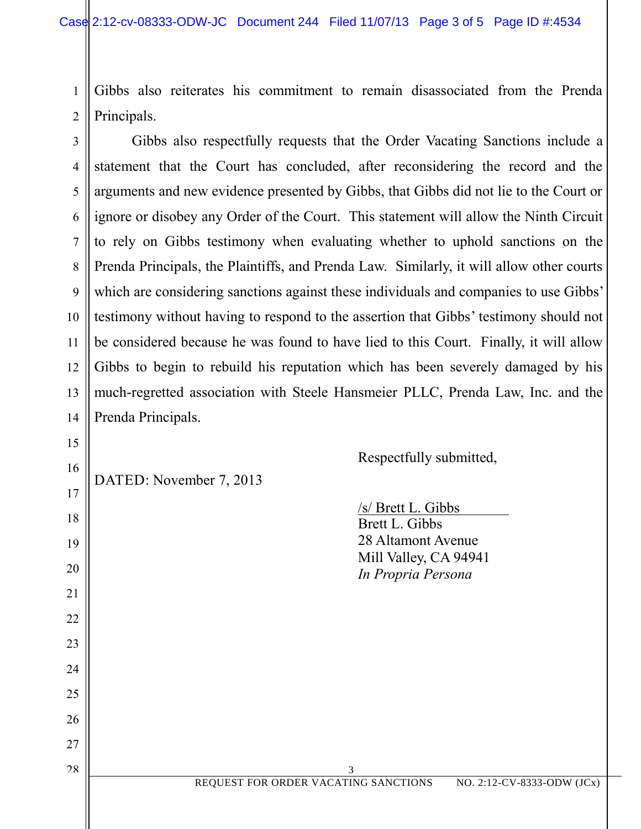2 Gibbs also reiterates his commitment to remain disassociated from the Prenda Principals.

3 5 7 10 12 13 14 Gibbs also respectfully requests that the Order Vacating Sanctions include a statement that the Court has concluded, after reconsidering the record and the arguments and new evidence presented by Gibbs, that Gibbs did not lie to the Court or ignore or disobey any Order of the Court. This statement will allow the Ninth Circuit to rely on Gibbs testimony when evaluating whether to uphold sanctions on the Prenda Principals, the Plaintiffs, and Prenda Law. Similarly, it will allow other courts which are considering sanctions against these individuals and companies to use Gibbs' testimony without having to respond to the assertion that Gibbs' testimony should not be considered because he was found to have lied to this Court. Finally, it will allow Gibbs to begin to rebuild his reputation which has been severely damaged by his much-regretted association with Steele Hansmeier PLLC, Prenda Law, Inc. and the Prenda Principals.

DATED: November 7, 2013

1

4

6

8

9

11

15

16

17

18

19

20

21

22

23

24

25

26

27

28

Respectfully submitted,

|                                      | /s/ Brett L. Gibbs<br>Brett L. Gibbs<br>28 Altamont Avenue<br>Mill Valley, CA 94941<br>In Propria Persona |                            |
|--------------------------------------|-----------------------------------------------------------------------------------------------------------|----------------------------|
|                                      |                                                                                                           |                            |
| 3                                    |                                                                                                           |                            |
| REQUEST FOR ORDER VACATING SANCTIONS |                                                                                                           | NO. 2:12-CV-8333-ODW (JCx) |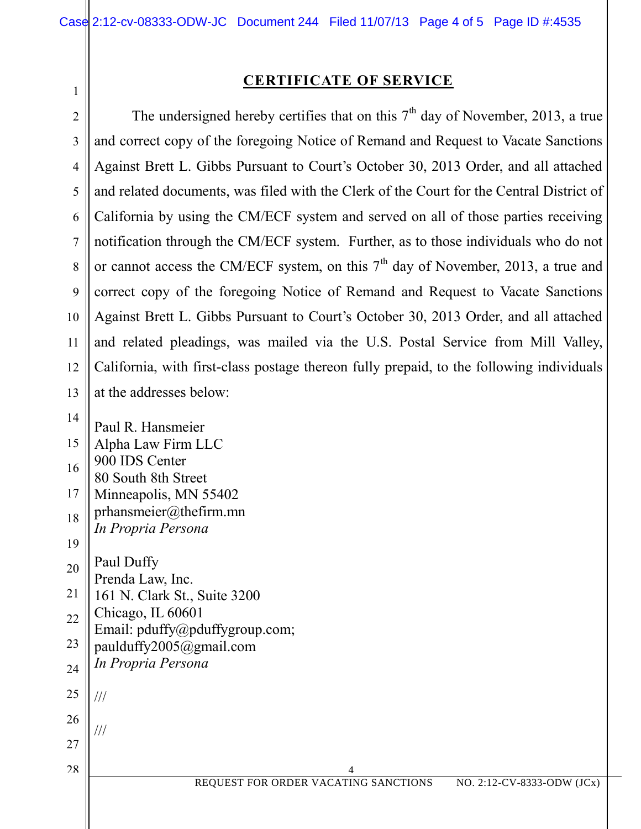1

## **CERTIFICATE OF SERVICE**

2 3 4 5 6 7 8 9 10 11 12 13 The undersigned hereby certifies that on this  $7<sup>th</sup>$  day of November, 2013, a true and correct copy of the foregoing Notice of Remand and Request to Vacate Sanctions Against Brett L. Gibbs Pursuant to Court's October 30, 2013 Order, and all attached and related documents, was filed with the Clerk of the Court for the Central District of California by using the CM/ECF system and served on all of those parties receiving notification through the CM/ECF system. Further, as to those individuals who do not or cannot access the CM/ECF system, on this  $7<sup>th</sup>$  day of November, 2013, a true and correct copy of the foregoing Notice of Remand and Request to Vacate Sanctions Against Brett L. Gibbs Pursuant to Court's October 30, 2013 Order, and all attached and related pleadings, was mailed via the U.S. Postal Service from Mill Valley, California, with first-class postage thereon fully prepaid, to the following individuals at the addresses below:

 4 REQUEST FOR ORDER VACATING SANCTIONS NO. 2:12-CV-8333-ODW (JCx) 14 15 16 17 18 19 20 21 22 23 24 25 26 27 28 Paul R. Hansmeier Alpha Law Firm LLC 900 IDS Center 80 South 8th Street Minneapolis, MN 55402 prhansmeier@thefirm.mn *In Propria Persona* Paul Duffy Prenda Law, Inc. 161 N. Clark St., Suite 3200 Chicago, IL 60601 Email: pduffy@pduffygroup.com; paulduffy2005@gmail.com *In Propria Persona* /// ///